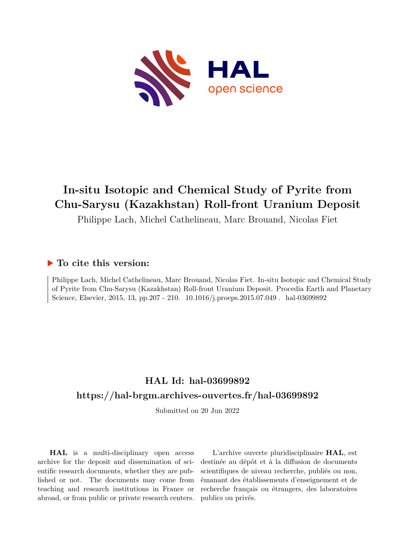

# **In-situ Isotopic and Chemical Study of Pyrite from Chu-Sarysu (Kazakhstan) Roll-front Uranium Deposit**

Philippe Lach, Michel Cathelineau, Marc Brouand, Nicolas Fiet

# **To cite this version:**

Philippe Lach, Michel Cathelineau, Marc Brouand, Nicolas Fiet. In-situ Isotopic and Chemical Study of Pyrite from Chu-Sarysu (Kazakhstan) Roll-front Uranium Deposit. Procedia Earth and Planetary Science, Elsevier, 2015, 13, pp.207 - 210. 10.1016/j.proeps.2015.07.049 . hal-03699892

# **HAL Id: hal-03699892 <https://hal-brgm.archives-ouvertes.fr/hal-03699892>**

Submitted on 20 Jun 2022

**HAL** is a multi-disciplinary open access archive for the deposit and dissemination of scientific research documents, whether they are published or not. The documents may come from teaching and research institutions in France or abroad, or from public or private research centers.

L'archive ouverte pluridisciplinaire **HAL**, est destinée au dépôt et à la diffusion de documents scientifiques de niveau recherche, publiés ou non, émanant des établissements d'enseignement et de recherche français ou étrangers, des laboratoires publics ou privés.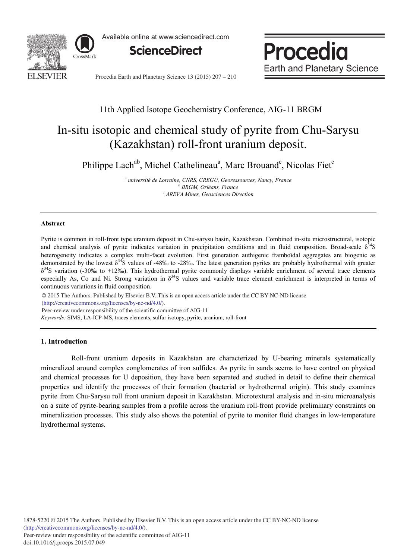

Available online at www.sciencedirect.com



Procedia **Earth and Planetary Science** 

Procedia Earth and Planetary Science 13 (2015) 207 - 210

# 11th Applied Isotope Geochemistry Conference, AIG-11 BRGM

# In-situ isotopic and chemical study of pyrite from Chu-Sarysu (Kazakhstan) roll-front uranium deposit.

Philippe Lach<sup>ab</sup>, Michel Cathelineau<sup>a</sup>, Marc Brouand<sup>c</sup>, Nicolas Fiet<sup>c</sup>

*<sup>a</sup> université de Lorraine, CNRS, CREGU, Georessources, Nancy, France <sup>b</sup> BRGM, Orléans, France <sup>c</sup> AREVA Mines, Geosciences Direction*

#### **Abstract**

Pyrite is common in roll-front type uranium deposit in Chu-sarysu basin, Kazakhstan. Combined in-situ microstructural, isotopic and chemical analysis of pyrite indicates variation in precipitation conditions and in fluid composition. Broad-scale  $\delta^{34}S$ heterogeneity indicates a complex multi-facet evolution. First generation authigenic framboïdal aggregates are biogenic as demonstrated by the lowest  $\delta^{34}S$  values of -48‰ to -28‰. The latest generation pyrites are probably hydrothermal with greater  $\delta^{34}$ S variation (-30‰ to +12‰). This hydrothermal pyrite commonly displays variable enrichment of several trace elements especially As, Co and Ni. Strong variation in  $\delta^{34}S$  values and variable trace element enrichment is interpreted in terms of continuous variations in fluid composition.

© 2015 The Authors. Published by Elsevier B.V. © 2015 The Authors. Published by Elsevier B.V. This is an open access article under the CC BY-NC-ND license (http://creativecommons.org/licenses/by-nc-nd/4.0/). *Keywords:* SIMS, LA-ICP-MS, traces elements, sulfur isotopy, pyrite, uranium, roll-front Peer-review under responsibility of the scientific committee of AIG-11

## **1. Introduction**

Roll-front uranium deposits in Kazakhstan are characterized by U-bearing minerals systematically mineralized around complex conglomerates of iron sulfides. As pyrite in sands seems to have control on physical and chemical processes for U deposition, they have been separated and studied in detail to define their chemical properties and identify the processes of their formation (bacterial or hydrothermal origin). This study examines pyrite from Chu-Sarysu roll front uranium deposit in Kazakhstan. Microtextural analysis and in-situ microanalysis on a suite of pyrite-bearing samples from a profile across the uranium roll-front provide preliminary constraints on mineralization processes. This study also shows the potential of pyrite to monitor fluid changes in low-temperature hydrothermal systems.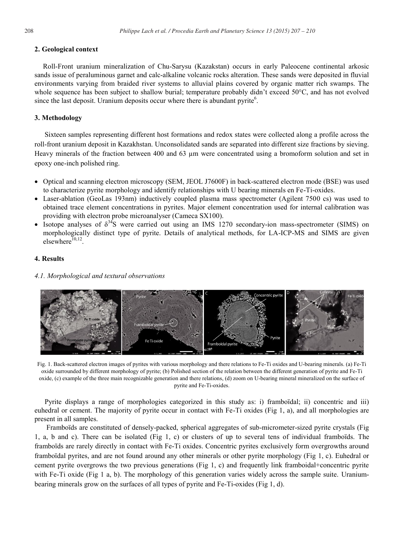### **2. Geological context**

Roll-Front uranium mineralization of Chu-Sarysu (Kazakstan) occurs in early Paleocene continental arkosic sands issue of peraluminous garnet and calc-alkaline volcanic rocks alteration. These sands were deposited in fluvial environments varying from braided river systems to alluvial plains covered by organic matter rich swamps. The whole sequence has been subject to shallow burial; temperature probably didn't exceed 50°C, and has not evolved since the last deposit. Uranium deposits occur where there is abundant pyrite<sup>6</sup>.

# **3. Methodology**

Sixteen samples representing different host formations and redox states were collected along a profile across the roll-front uranium deposit in Kazakhstan. Unconsolidated sands are separated into different size fractions by sieving. Heavy minerals of the fraction between 400 and 63 μm were concentrated using a bromoform solution and set in epoxy one-inch polished ring.

- x Optical and scanning electron microscopy (SEM, JEOL J7600F) in back-scattered electron mode (BSE) was used to characterize pyrite morphology and identify relationships with U bearing minerals en Fe-Ti-oxides.
- Laser-ablation (GeoLas 193nm) inductively coupled plasma mass spectrometer (Agilent 7500 cs) was used to obtained trace element concentrations in pyrites. Major element concentration used for internal calibration was providing with electron probe microanalyser (Cameca SX100).
- Isotope analyses of  $\delta^{34}S$  were carried out using an IMS 1270 secondary-ion mass-spectrometer (SIMS) on morphologically distinct type of pyrite. Details of analytical methods, for LA-ICP-MS and SIMS are given  $elsewhere<sup>10,12</sup>$ .

## **4. Results**

*4.1. Morphological and textural observations*



Fig. 1. Back-scattered electron images of pyrites with various morphology and there relations to Fe-Ti oxides and U-bearing minerals. (a) Fe-Ti oxide surrounded by different morphology of pyrite; (b) Polished section of the relation between the different generation of pyrite and Fe-Ti oxide, (c) example of the three main recognizable generation and there relations, (d) zoom on U-bearing mineral mineralized on the surface of pyrite and Fe-Ti-oxides.

Pyrite displays a range of morphologies categorized in this study as: i) framboïdal; ii) concentric and iii) euhedral or cement. The majority of pyrite occur in contact with Fe-Ti oxides (Fig 1, a), and all morphologies are present in all samples.

Framboïds are constituted of densely-packed, spherical aggregates of sub-micrometer-sized pyrite crystals (Fig 1, a, b and c). There can be isolated (Fig 1, c) or clusters of up to several tens of individual framboïds. The framboïds are rarely directly in contact with Fe-Ti oxides. Concentric pyrites exclusively form overgrowths around framboïdal pyrites, and are not found around any other minerals or other pyrite morphology (Fig 1, c). Euhedral or cement pyrite overgrows the two previous generations (Fig 1, c) and frequently link framboidal+concentric pyrite with Fe-Ti oxide (Fig 1 a, b). The morphology of this generation varies widely across the sample suite. Uraniumbearing minerals grow on the surfaces of all types of pyrite and Fe-Ti-oxides (Fig 1, d).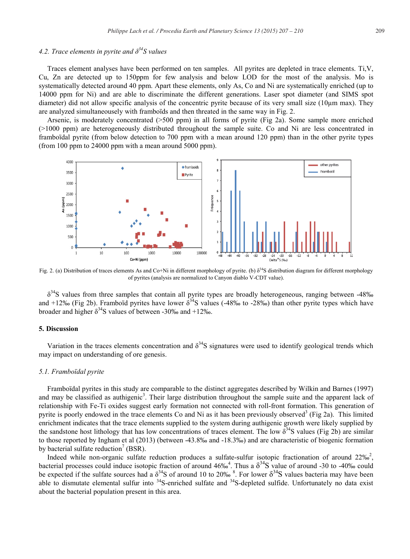# *4.2. Trace elements in pyrite and δ 34S values*

Traces element analyses have been performed on ten samples. All pyrites are depleted in trace elements. Ti,V, Cu, Zn are detected up to 150ppm for few analysis and below LOD for the most of the analysis. Mo is systematically detected around 40 ppm. Apart these elements, only As, Co and Ni are systematically enriched (up to 14000 ppm for Ni) and are able to discriminate the different generations. Laser spot diameter (and SIMS spot diameter) did not allow specific analysis of the concentric pyrite because of its very small size (10μm max). They are analyzed simultaneousely with framboïds and then threated in the same way in Fig. 2.

Arsenic, is moderately concentrated (>500 ppm) in all forms of pyrite (Fig 2a). Some sample more enriched (>1000 ppm) are heterogeneously distributed throughout the sample suite. Co and Ni are less concentrated in framboïdal pyrite (from below detection to 700 ppm with a mean around 120 ppm) than in the other pyrite types (from 100 ppm to 24000 ppm with a mean around 5000 ppm).



Fig. 2. (a) Distribution of traces elements As and Co+Ni in different morphology of pyrite. (b) δ<sup>34</sup>S distribution diagram for different morphology of pyrites (analysis are normalized to Canyon diablo V-CDT value).

 $\delta^{34}$ S values from three samples that contain all pyrite types are broadly heterogeneous, ranging between -48‰ and +12‰ (Fig 2b). Framboïd pyrites have lower  $\delta^{34}S$  values (-48‰ to -28‰) than other pyrite types which have broader and higher  $\delta^{34}$ S values of between -30‰ and +12‰.

#### **5. Discussion**

Variation in the traces elements concentration and  $\delta^{34}S$  signatures were used to identify geological trends which may impact on understanding of ore genesis.

#### *5.1. Framboïdal pyrite*

Framboïdal pyrites in this study are comparable to the distinct aggregates described by Wilkin and Barnes (1997) and may be classified as authigenic<sup>3</sup>. Their large distribution throughout the sample suite and the apparent lack of relationship with Fe-Ti oxides suggest early formation not connected with roll-front formation. This generation of pyrite is poorly endowed in the trace elements Co and Ni as it has been previously observed<sup>3</sup> (Fig 2a). This limited enrichment indicates that the trace elements supplied to the system during authigenic growth were likely supplied by the sandstone host lithology that has low concentrations of traces element. The low  $\delta^{34}$ S values (Fig 2b) are similar to those reported by Ingham et al (2013) (between -43.8‰ and -18.3‰) and are characteristic of biogenic formation by bacterial sulfate reduction' (BSR).

Indeed while non-organic sulfate reduction produces a sulfate-sulfur isotopic fractionation of around 22‰<sup>2</sup>, bacterial processes could induce isotopic fraction of around  $46\%^4$ . Thus a  $\delta^{34}S$  value of around -30 to -40‰ could be expected if the sulfate sources had a  $\delta^{34}S$  of around 10 to 20‰  $^8$ . For lower  $\delta^{34}S$  values bacteria may have been able to dismutate elemental sulfur into  $34$ S-enriched sulfate and  $34$ S-depleted sulfide. Unfortunately no data exist about the bacterial population present in this area.